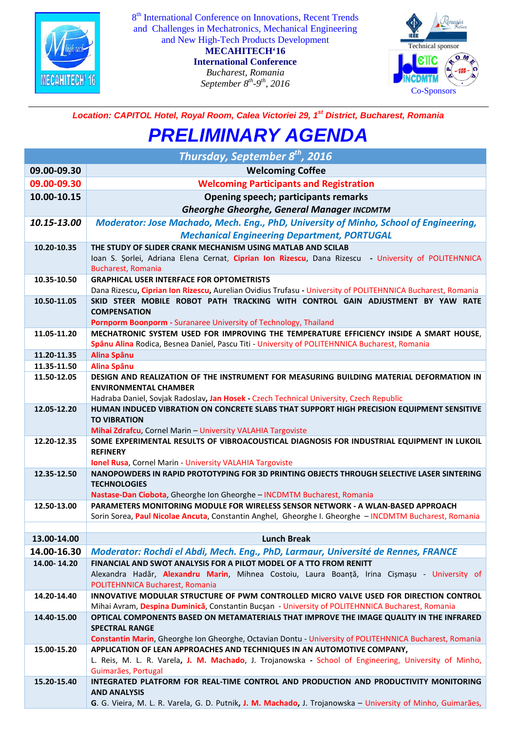

8<sup>th</sup> International Conference on Innovations, Recent Trends and Challenges in Mechatronics, Mechanical Engineering and New High-Tech Products Development

> **MECAHITECH'16 International Conference** *Bucharest, Romania September 8th-9th, 2016*



## *Location: CAPITOL Hotel, Royal Room, Calea Victoriei 29, 1st District, Bucharest, Romania*

## *PRELIMINARY AGENDA*

|             | Thursday, September 8 <sup>th</sup> , 2016                                                                                       |
|-------------|----------------------------------------------------------------------------------------------------------------------------------|
| 09.00-09.30 | <b>Welcoming Coffee</b>                                                                                                          |
| 09.00-09.30 | <b>Welcoming Participants and Registration</b>                                                                                   |
| 10.00-10.15 | <b>Opening speech; participants remarks</b>                                                                                      |
|             | <b>Gheorghe Gheorghe, General Manager INCDMTM</b>                                                                                |
| 10.15-13.00 | Moderator: Jose Machado, Mech. Eng., PhD, University of Minho, School of Engineering,                                            |
|             | <b>Mechanical Engineering Department, PORTUGAL</b>                                                                               |
| 10.20-10.35 | THE STUDY OF SLIDER CRANK MECHANISM USING MATLAB AND SCILAB                                                                      |
|             | Ioan S. Sorlei, Adriana Elena Cernat, Ciprian Ion Rizescu, Dana Rizescu - University of POLITEHNNICA                             |
|             | Bucharest, Romania                                                                                                               |
| 10.35-10.50 | <b>GRAPHICAL USER INTERFACE FOR OPTOMETRISTS</b>                                                                                 |
|             | Dana Rizescu, Ciprian Ion Rizescu, Aurelian Ovidius Trufasu - University of POLITEHNNICA Bucharest, Romania                      |
| 10.50-11.05 | SKID STEER MOBILE ROBOT PATH TRACKING WITH CONTROL GAIN ADJUSTMENT BY YAW RATE<br><b>COMPENSATION</b>                            |
|             | Pornporm Boonporm - Suranaree University of Technology, Thailand                                                                 |
| 11.05-11.20 | MECHATRONIC SYSTEM USED FOR IMPROVING THE TEMPERATURE EFFICIENCY INSIDE A SMART HOUSE,                                           |
|             | Spânu Alina Rodica, Besnea Daniel, Pascu Titi - University of POLITEHNNICA Bucharest, Romania                                    |
| 11.20-11.35 | Alina Spânu                                                                                                                      |
| 11.35-11.50 | Alina Spânu                                                                                                                      |
| 11.50-12.05 | DESIGN AND REALIZATION OF THE INSTRUMENT FOR MEASURING BUILDING MATERIAL DEFORMATION IN<br><b>ENVIRONMENTAL CHAMBER</b>          |
|             | Hadraba Daniel, Sovjak Radoslav, Jan Hosek - Czech Technical University, Czech Republic                                          |
| 12.05-12.20 | HUMAN INDUCED VIBRATION ON CONCRETE SLABS THAT SUPPORT HIGH PRECISION EQUIPMENT SENSITIVE                                        |
|             | <b>TO VIBRATION</b>                                                                                                              |
|             | Mihai Zdrafcu, Cornel Marin - University VALAHIA Targoviste                                                                      |
| 12.20-12.35 | SOME EXPERIMENTAL RESULTS OF VIBROACOUSTICAL DIAGNOSIS FOR INDUSTRIAL EQUIPMENT IN LUKOIL                                        |
|             | <b>REFINERY</b><br><b>Ionel Rusa</b> , Cornel Marin - University VALAHIA Targoviste                                              |
| 12.35-12.50 | NANOPOWDERS IN RAPID PROTOTYPING FOR 3D PRINTING OBJECTS THROUGH SELECTIVE LASER SINTERING                                       |
|             | <b>TECHNOLOGIES</b>                                                                                                              |
|             | Nastase-Dan Ciobota, Gheorghe Ion Gheorghe - INCDMTM Bucharest, Romania                                                          |
| 12.50-13.00 | PARAMETERS MONITORING MODULE FOR WIRELESS SENSOR NETWORK - A WLAN-BASED APPROACH                                                 |
|             | Sorin Sorea, Paul Nicolae Ancuta, Constantin Anghel, Gheorghe I. Gheorghe - INCDMTM Bucharest, Romania                           |
| 13.00-14.00 | <b>Lunch Break</b>                                                                                                               |
| 14.00-16.30 | Moderator: Rochdi el Abdi, Mech. Eng., PhD, Larmaur, Université de Rennes, FRANCE                                                |
| 14.00-14.20 | FINANCIAL AND SWOT ANALYSIS FOR A PILOT MODEL OF A TTO FROM RENITT                                                               |
|             | Alexandra Hadăr, Alexandru Marin, Mihnea Costoiu, Laura Boanță, Irina Cismașu - University of                                    |
|             | POLITEHNNICA Bucharest, Romania                                                                                                  |
| 14.20-14.40 | INNOVATIVE MODULAR STRUCTURE OF PWM CONTROLLED MICRO VALVE USED FOR DIRECTION CONTROL                                            |
|             | Mihai Avram, Despina Duminică, Constantin Bucșan - University of POLITEHNNICA Bucharest, Romania                                 |
| 14.40-15.00 | OPTICAL COMPONENTS BASED ON METAMATERIALS THAT IMPROVE THE IMAGE QUALITY IN THE INFRARED                                         |
|             | <b>SPECTRAL RANGE</b><br>Constantin Marin, Gheorghe Ion Gheorghe, Octavian Dontu - University of POLITEHNNICA Bucharest, Romania |
| 15.00-15.20 | APPLICATION OF LEAN APPROACHES AND TECHNIQUES IN AN AUTOMOTIVE COMPANY,                                                          |
|             | L. Reis, M. L. R. Varela, J. M. Machado, J. Trojanowska - School of Engineering, University of Minho,                            |
|             | Guimarães, Portugal                                                                                                              |
| 15.20-15.40 | INTEGRATED PLATFORM FOR REAL-TIME CONTROL AND PRODUCTION AND PRODUCTIVITY MONITORING                                             |
|             | <b>AND ANALYSIS</b>                                                                                                              |
|             | G. G. Vieira, M. L. R. Varela, G. D. Putnik, J. M. Machado, J. Trojanowska - University of Minho, Guimarães,                     |